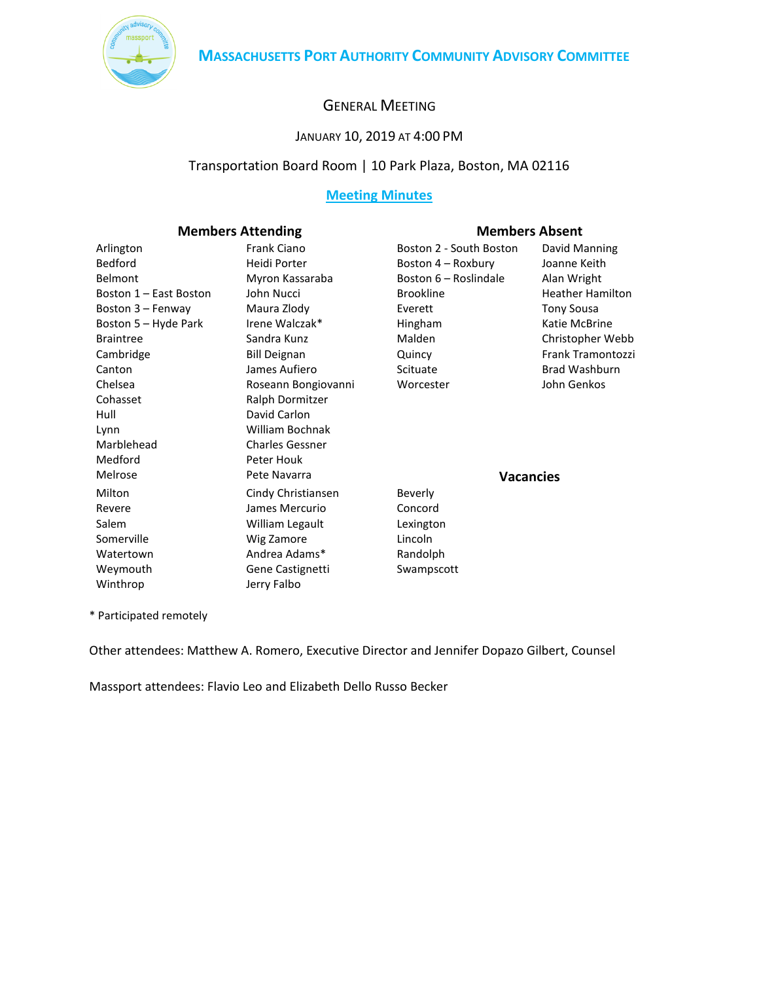

# GENERAL MEETING

# JANUARY 10, 2019 AT 4:00 PM

# Transportation Board Room | 10 Park Plaza, Boston, MA 02116

# **Meeting Minutes**

### **Members Attending Members Absent**

| אוווארוט רוגנטוואוווא  |                        |                         |                         |
|------------------------|------------------------|-------------------------|-------------------------|
| Arlington              | <b>Frank Ciano</b>     | Boston 2 - South Boston | David Manning           |
| Bedford                | Heidi Porter           | Boston 4 – Roxbury      | Joanne Keith            |
| Belmont                | Myron Kassaraba        | Boston 6 - Roslindale   | Alan Wright             |
| Boston 1 - East Boston | John Nucci             | <b>Brookline</b>        | <b>Heather Hamilton</b> |
| Boston 3 – Fenway      | Maura Zlody            | Everett                 | <b>Tony Sousa</b>       |
| Boston 5 – Hyde Park   | Irene Walczak*         | Hingham                 | Katie McBrine           |
| <b>Braintree</b>       | Sandra Kunz            | Malden                  | Christopher Webb        |
| Cambridge              | <b>Bill Deignan</b>    | Quincy                  | Frank Tramontozzi       |
| Canton                 | James Aufiero          | Scituate                | Brad Washburn           |
| Chelsea                | Roseann Bongiovanni    | Worcester               | John Genkos             |
| Cohasset               | Ralph Dormitzer        |                         |                         |
| Hull                   | David Carlon           |                         |                         |
| Lynn                   | William Bochnak        |                         |                         |
| Marblehead             | <b>Charles Gessner</b> |                         |                         |
| Medford                | Peter Houk             |                         |                         |
| Melrose                | Pete Navarra           | <b>Vacancies</b>        |                         |
| Milton                 | Cindy Christiansen     | Beverly                 |                         |
| Revere                 | James Mercurio         | Concord                 |                         |
| Salem                  | William Legault        | Lexington               |                         |
| Somerville             | Wig Zamore             | Lincoln                 |                         |
| Watertown              | Andrea Adams*          | Randolph                |                         |
| Weymouth               | Gene Castignetti       | Swampscott              |                         |
| Winthrop               | Jerry Falbo            |                         |                         |

\* Participated remotely

Other attendees: Matthew A. Romero, Executive Director and Jennifer Dopazo Gilbert, Counsel

Massport attendees: Flavio Leo and Elizabeth Dello Russo Becker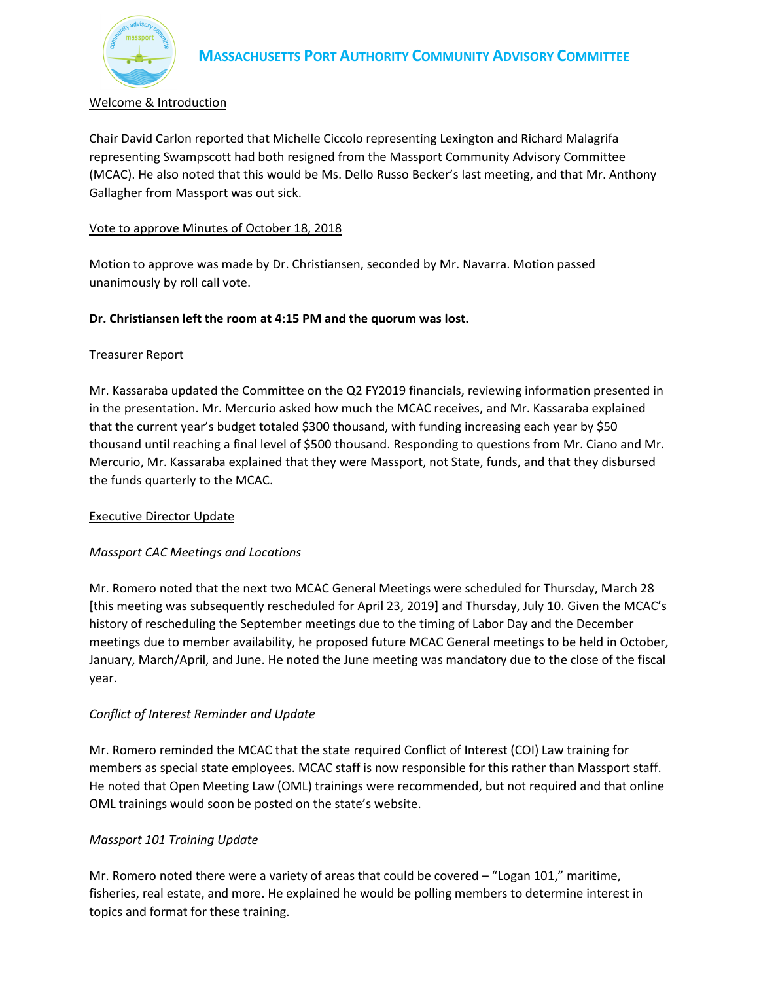

# Welcome & Introduction

Chair David Carlon reported that Michelle Ciccolo representing Lexington and Richard Malagrifa representing Swampscott had both resigned from the Massport Community Advisory Committee (MCAC). He also noted that this would be Ms. Dello Russo Becker's last meeting, and that Mr. Anthony Gallagher from Massport was out sick.

#### Vote to approve Minutes of October 18, 2018

Motion to approve was made by Dr. Christiansen, seconded by Mr. Navarra. Motion passed unanimously by roll call vote.

# **Dr. Christiansen left the room at 4:15 PM and the quorum was lost.**

### Treasurer Report

Mr. Kassaraba updated the Committee on the Q2 FY2019 financials, reviewing information presented in in the presentation. Mr. Mercurio asked how much the MCAC receives, and Mr. Kassaraba explained that the current year's budget totaled \$300 thousand, with funding increasing each year by \$50 thousand until reaching a final level of \$500 thousand. Responding to questions from Mr. Ciano and Mr. Mercurio, Mr. Kassaraba explained that they were Massport, not State, funds, and that they disbursed the funds quarterly to the MCAC.

#### Executive Director Update

#### *Massport CAC Meetings and Locations*

Mr. Romero noted that the next two MCAC General Meetings were scheduled for Thursday, March 28 [this meeting was subsequently rescheduled for April 23, 2019] and Thursday, July 10. Given the MCAC's history of rescheduling the September meetings due to the timing of Labor Day and the December meetings due to member availability, he proposed future MCAC General meetings to be held in October, January, March/April, and June. He noted the June meeting was mandatory due to the close of the fiscal year.

# *Conflict of Interest Reminder and Update*

Mr. Romero reminded the MCAC that the state required Conflict of Interest (COI) Law training for members as special state employees. MCAC staff is now responsible for this rather than Massport staff. He noted that Open Meeting Law (OML) trainings were recommended, but not required and that online OML trainings would soon be posted on the state's website.

#### *Massport 101 Training Update*

Mr. Romero noted there were a variety of areas that could be covered – "Logan 101," maritime, fisheries, real estate, and more. He explained he would be polling members to determine interest in topics and format for these training.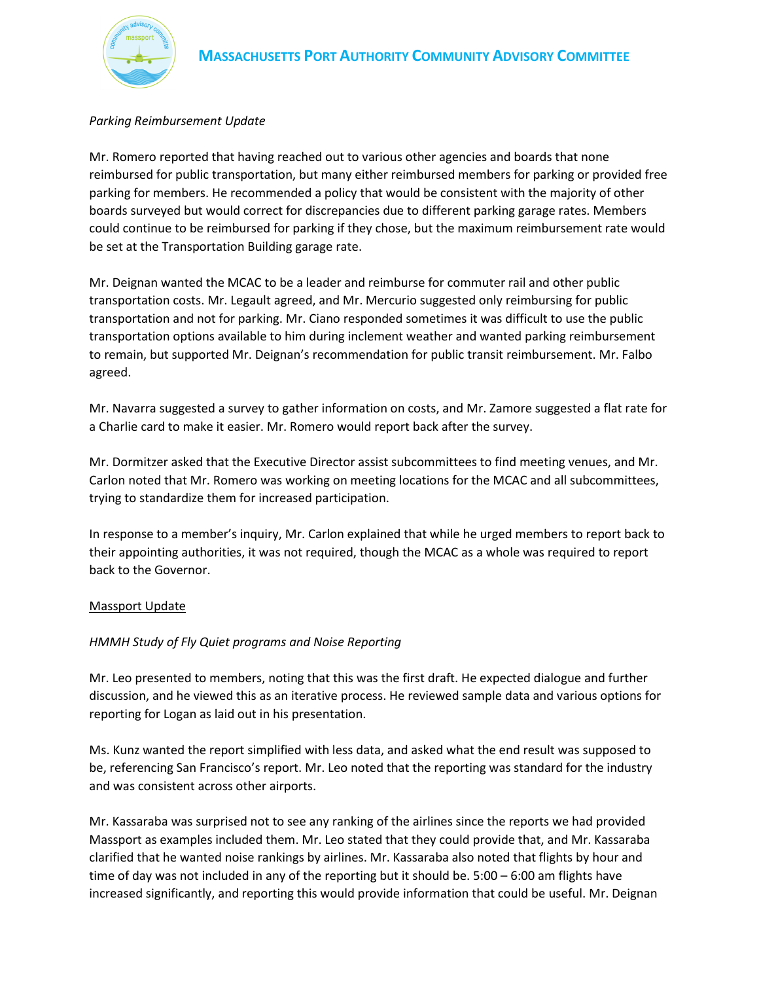

#### *Parking Reimbursement Update*

Mr. Romero reported that having reached out to various other agencies and boards that none reimbursed for public transportation, but many either reimbursed members for parking or provided free parking for members. He recommended a policy that would be consistent with the majority of other boards surveyed but would correct for discrepancies due to different parking garage rates. Members could continue to be reimbursed for parking if they chose, but the maximum reimbursement rate would be set at the Transportation Building garage rate.

Mr. Deignan wanted the MCAC to be a leader and reimburse for commuter rail and other public transportation costs. Mr. Legault agreed, and Mr. Mercurio suggested only reimbursing for public transportation and not for parking. Mr. Ciano responded sometimes it was difficult to use the public transportation options available to him during inclement weather and wanted parking reimbursement to remain, but supported Mr. Deignan's recommendation for public transit reimbursement. Mr. Falbo agreed.

Mr. Navarra suggested a survey to gather information on costs, and Mr. Zamore suggested a flat rate for a Charlie card to make it easier. Mr. Romero would report back after the survey.

Mr. Dormitzer asked that the Executive Director assist subcommittees to find meeting venues, and Mr. Carlon noted that Mr. Romero was working on meeting locations for the MCAC and all subcommittees, trying to standardize them for increased participation.

In response to a member's inquiry, Mr. Carlon explained that while he urged members to report back to their appointing authorities, it was not required, though the MCAC as a whole was required to report back to the Governor.

#### Massport Update

#### *HMMH Study of Fly Quiet programs and Noise Reporting*

Mr. Leo presented to members, noting that this was the first draft. He expected dialogue and further discussion, and he viewed this as an iterative process. He reviewed sample data and various options for reporting for Logan as laid out in his presentation.

Ms. Kunz wanted the report simplified with less data, and asked what the end result was supposed to be, referencing San Francisco's report. Mr. Leo noted that the reporting was standard for the industry and was consistent across other airports.

Mr. Kassaraba was surprised not to see any ranking of the airlines since the reports we had provided Massport as examples included them. Mr. Leo stated that they could provide that, and Mr. Kassaraba clarified that he wanted noise rankings by airlines. Mr. Kassaraba also noted that flights by hour and time of day was not included in any of the reporting but it should be. 5:00 – 6:00 am flights have increased significantly, and reporting this would provide information that could be useful. Mr. Deignan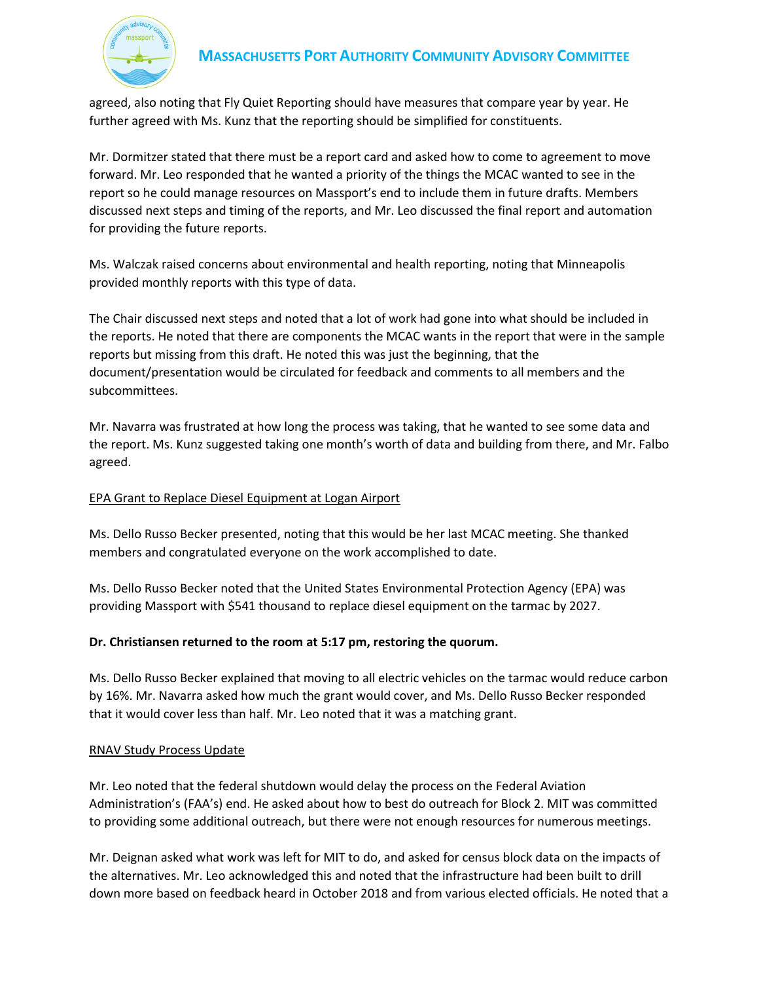

# **MASSACHUSETTS PORT AUTHORITY COMMUNITY ADVISORY COMMITTEE**

agreed, also noting that Fly Quiet Reporting should have measures that compare year by year. He further agreed with Ms. Kunz that the reporting should be simplified for constituents.

Mr. Dormitzer stated that there must be a report card and asked how to come to agreement to move forward. Mr. Leo responded that he wanted a priority of the things the MCAC wanted to see in the report so he could manage resources on Massport's end to include them in future drafts. Members discussed next steps and timing of the reports, and Mr. Leo discussed the final report and automation for providing the future reports.

Ms. Walczak raised concerns about environmental and health reporting, noting that Minneapolis provided monthly reports with this type of data.

The Chair discussed next steps and noted that a lot of work had gone into what should be included in the reports. He noted that there are components the MCAC wants in the report that were in the sample reports but missing from this draft. He noted this was just the beginning, that the document/presentation would be circulated for feedback and comments to all members and the subcommittees.

Mr. Navarra was frustrated at how long the process was taking, that he wanted to see some data and the report. Ms. Kunz suggested taking one month's worth of data and building from there, and Mr. Falbo agreed.

# EPA Grant to Replace Diesel Equipment at Logan Airport

Ms. Dello Russo Becker presented, noting that this would be her last MCAC meeting. She thanked members and congratulated everyone on the work accomplished to date.

Ms. Dello Russo Becker noted that the United States Environmental Protection Agency (EPA) was providing Massport with \$541 thousand to replace diesel equipment on the tarmac by 2027.

#### **Dr. Christiansen returned to the room at 5:17 pm, restoring the quorum.**

Ms. Dello Russo Becker explained that moving to all electric vehicles on the tarmac would reduce carbon by 16%. Mr. Navarra asked how much the grant would cover, and Ms. Dello Russo Becker responded that it would cover less than half. Mr. Leo noted that it was a matching grant.

#### RNAV Study Process Update

Mr. Leo noted that the federal shutdown would delay the process on the Federal Aviation Administration's (FAA's) end. He asked about how to best do outreach for Block 2. MIT was committed to providing some additional outreach, but there were not enough resources for numerous meetings.

Mr. Deignan asked what work was left for MIT to do, and asked for census block data on the impacts of the alternatives. Mr. Leo acknowledged this and noted that the infrastructure had been built to drill down more based on feedback heard in October 2018 and from various elected officials. He noted that a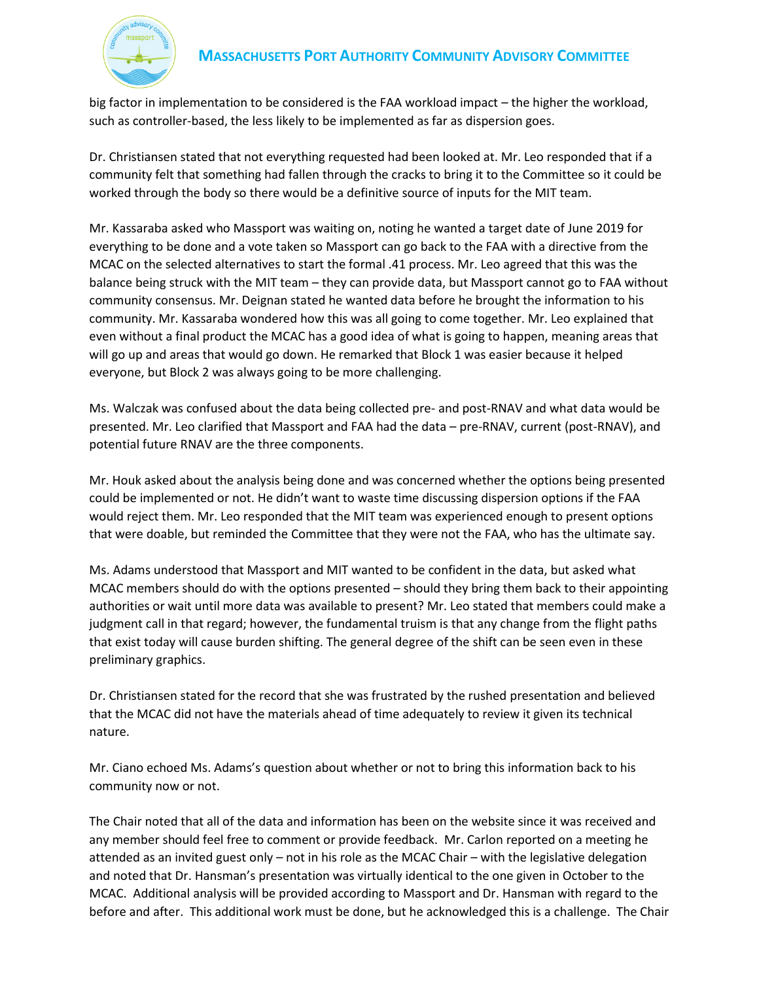

big factor in implementation to be considered is the FAA workload impact – the higher the workload, such as controller-based, the less likely to be implemented as far as dispersion goes.

Dr. Christiansen stated that not everything requested had been looked at. Mr. Leo responded that if a community felt that something had fallen through the cracks to bring it to the Committee so it could be worked through the body so there would be a definitive source of inputs for the MIT team.

Mr. Kassaraba asked who Massport was waiting on, noting he wanted a target date of June 2019 for everything to be done and a vote taken so Massport can go back to the FAA with a directive from the MCAC on the selected alternatives to start the formal .41 process. Mr. Leo agreed that this was the balance being struck with the MIT team – they can provide data, but Massport cannot go to FAA without community consensus. Mr. Deignan stated he wanted data before he brought the information to his community. Mr. Kassaraba wondered how this was all going to come together. Mr. Leo explained that even without a final product the MCAC has a good idea of what is going to happen, meaning areas that will go up and areas that would go down. He remarked that Block 1 was easier because it helped everyone, but Block 2 was always going to be more challenging.

Ms. Walczak was confused about the data being collected pre- and post-RNAV and what data would be presented. Mr. Leo clarified that Massport and FAA had the data – pre-RNAV, current (post-RNAV), and potential future RNAV are the three components.

Mr. Houk asked about the analysis being done and was concerned whether the options being presented could be implemented or not. He didn't want to waste time discussing dispersion options if the FAA would reject them. Mr. Leo responded that the MIT team was experienced enough to present options that were doable, but reminded the Committee that they were not the FAA, who has the ultimate say.

Ms. Adams understood that Massport and MIT wanted to be confident in the data, but asked what MCAC members should do with the options presented – should they bring them back to their appointing authorities or wait until more data was available to present? Mr. Leo stated that members could make a judgment call in that regard; however, the fundamental truism is that any change from the flight paths that exist today will cause burden shifting. The general degree of the shift can be seen even in these preliminary graphics.

Dr. Christiansen stated for the record that she was frustrated by the rushed presentation and believed that the MCAC did not have the materials ahead of time adequately to review it given its technical nature.

Mr. Ciano echoed Ms. Adams's question about whether or not to bring this information back to his community now or not.

The Chair noted that all of the data and information has been on the website since it was received and any member should feel free to comment or provide feedback. Mr. Carlon reported on a meeting he attended as an invited guest only – not in his role as the MCAC Chair – with the legislative delegation and noted that Dr. Hansman's presentation was virtually identical to the one given in October to the MCAC. Additional analysis will be provided according to Massport and Dr. Hansman with regard to the before and after. This additional work must be done, but he acknowledged this is a challenge. The Chair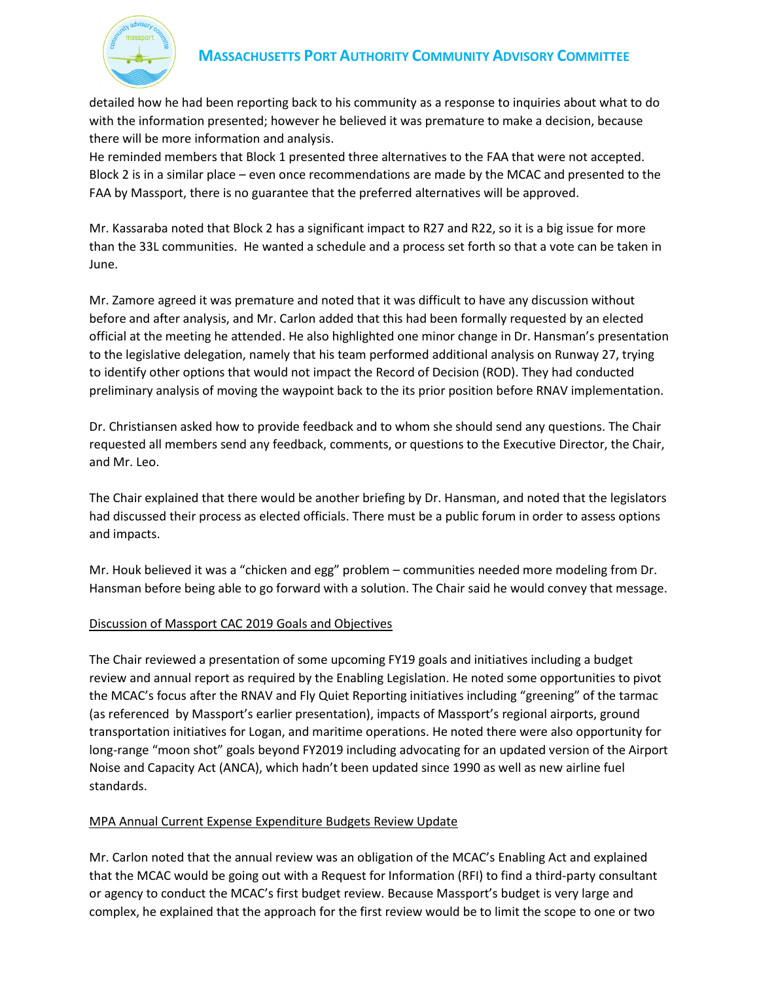

# **MASSACHUSETTS PORT AUTHORITY COMMUNITY ADVISORY COMMITTEE**

detailed how he had been reporting back to his community as a response to inquiries about what to do with the information presented; however he believed it was premature to make a decision, because there will be more information and analysis.

He reminded members that Block 1 presented three alternatives to the FAA that were not accepted. Block 2 is in a similar place – even once recommendations are made by the MCAC and presented to the FAA by Massport, there is no guarantee that the preferred alternatives will be approved.

Mr. Kassaraba noted that Block 2 has a significant impact to R27 and R22, so it is a big issue for more than the 33L communities. He wanted a schedule and a process set forth so that a vote can be taken in June.

Mr. Zamore agreed it was premature and noted that it was difficult to have any discussion without before and after analysis, and Mr. Carlon added that this had been formally requested by an elected official at the meeting he attended. He also highlighted one minor change in Dr. Hansman's presentation to the legislative delegation, namely that his team performed additional analysis on Runway 27, trying to identify other options that would not impact the Record of Decision (ROD). They had conducted preliminary analysis of moving the waypoint back to the its prior position before RNAV implementation.

Dr. Christiansen asked how to provide feedback and to whom she should send any questions. The Chair requested all members send any feedback, comments, or questions to the Executive Director, the Chair, and Mr. Leo.

The Chair explained that there would be another briefing by Dr. Hansman, and noted that the legislators had discussed their process as elected officials. There must be a public forum in order to assess options and impacts.

Mr. Houk believed it was a "chicken and egg" problem – communities needed more modeling from Dr. Hansman before being able to go forward with a solution. The Chair said he would convey that message.

# Discussion of Massport CAC 2019 Goals and Objectives

The Chair reviewed a presentation of some upcoming FY19 goals and initiatives including a budget review and annual report as required by the Enabling Legislation. He noted some opportunities to pivot the MCAC's focus after the RNAV and Fly Quiet Reporting initiatives including "greening" of the tarmac (as referenced by Massport's earlier presentation), impacts of Massport's regional airports, ground transportation initiatives for Logan, and maritime operations. He noted there were also opportunity for long-range "moon shot" goals beyond FY2019 including advocating for an updated version of the Airport Noise and Capacity Act (ANCA), which hadn't been updated since 1990 as well as new airline fuel standards.

# MPA Annual Current Expense Expenditure Budgets Review Update

Mr. Carlon noted that the annual review was an obligation of the MCAC's Enabling Act and explained that the MCAC would be going out with a Request for Information (RFI) to find a third-party consultant or agency to conduct the MCAC's first budget review. Because Massport's budget is very large and complex, he explained that the approach for the first review would be to limit the scope to one or two